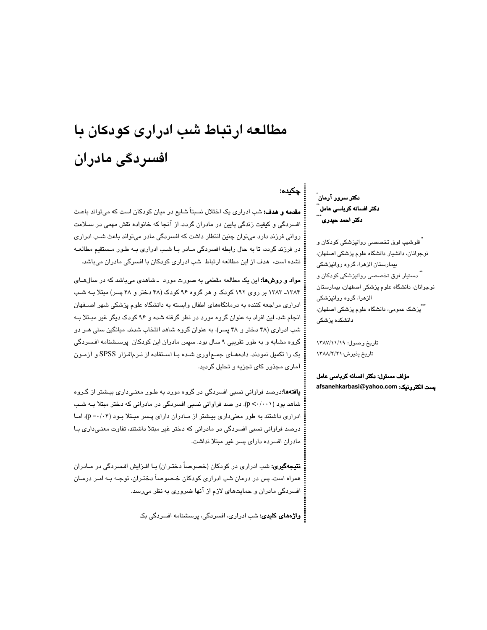# مطالعه ارتباط شب ادراری کودکان با افسردگی مادران

دکتر سرور آرمان ٌ دکتر افسانه کرباسی عامل ً دکتر احمد حیدری

چکیده:

<sup>'</sup> فلوشيپ فوق تخصص*ی* روانپزشکی کودکان و نوجوانان، دانشیار دانشگاه علوم پزشکی اصفهان، بیمارستان الزهرا، گروه روانپزشکی ً دستیار فوق تخصصی روانپزشکی کودکان و نوجوانان، دانشگاه علوم پزشکی اصفهان، بیمارستان الزهرا، گروه روانپزشکی \*\*پزشک عمومی، دانشگاه علوم پزشکی اصفهان، دانشکده یزشکی

تاريخ وصول: ١٣٨٧/١١/١٩ تاریخ پذیرش:۲/۲/۸/۱/۱۲۸۸

مؤلف مسئول: دكتر افسانه كرباسى عامل afsanehkarbasi@yahoo.com بِست الكترونيک:

**مقدمه و هدف:** شب ادراری یک اختلال نسبتاً شایع در میان کودکان است که می تواند باعث افسردگی و کیفیت زندگی پایین در مادران گردد. از آنجا که خانواده نقش مهمی در سـلامت روانی فرزند دارد میتوان چنین انتظار داشت که افسردگی مادر میتواند باعث شـب ادراری در فرزند گردد، تا به حال رابطه افسردگی مـادر بـا شـب ادراری بـه طـور مـستقیم مطالعـه

مواد و روشها: این یک مطالعه مقطعی به صورت مورد -شاهدی میباشد که در سالهـای ۱۳۸۴ـ ۱۳۸۳ بر روی ۱۹۲ کودک و هر گروه ۹۶ کودک (۴۸ دختر و ۴۸ پسر) مبتلا بـه شـب ادراری مراجعه کننده به درمانگاههای اطفال وابسته به دانشگاه علوم پزشکی شهر اصـفهان انجام شد. این افراد به عنوان گروه مورد در نظر گرفته شده و ۹۶ کودک دیگر غیر مبتلا به شب ادراری (۴۸ دختر و ۴۸ پسر)، به عنوان گروه شاهد انتخاب شدند. میانگین سنی هـر دو گروه مشابه و به طور تقریبی ۹ سال بود. سپس مادران این کودکان پرسـشنامه افـسردگی بک را تکمیل نمودند. دادههـای جمــع آوری شــده بــا اســتفاده از نــرـم|فـزار SPSS و آزمـون آماری مجذور کای تجزیه و تحلیل گردید.

نشده است، هدف از این مطالعه ارتباط شب ادراری کودکان با افسرگی مادران میباشد.

**یافتهها:**درصد فراوانی نسبی افسردگی در گروه مورد به طـور معنـیداری بیـشتر از گـروه شاهد بود (p < · / · ۰ )). در صد فراوانی نسبی افسردگی در مادرانی که دختر مبتلا بـه شـب ادراری داشتند به طور معنیداری بیشتر از مـادران دارای پـسر مبـتلا بـود (p =۰/۰۴)، امـا درصد فراوانی نسبی افسردگی در مادرانی که دختر غیر مبتلا داشتند، تفاوت معنـیداری بـا مادران افسرده دارای پسر غیر مبتلا نداشت.

**نتیجهگیری:** شب ادراری در کودکان (خصوصاً دختـران) بـا افـزایش افـسردگی در مـادران همراه است. پس در درمان شب ادراری کودکان خـصوصـاً دختـران، توجـه بـه امـر درمـان افسردگی مادران و حمایتهای لازم از آنها ضروری به نظر میرسد.

**: واژههای کلیدی:** شب ادراری، افسردگی، پرسشنامه افسردگی بک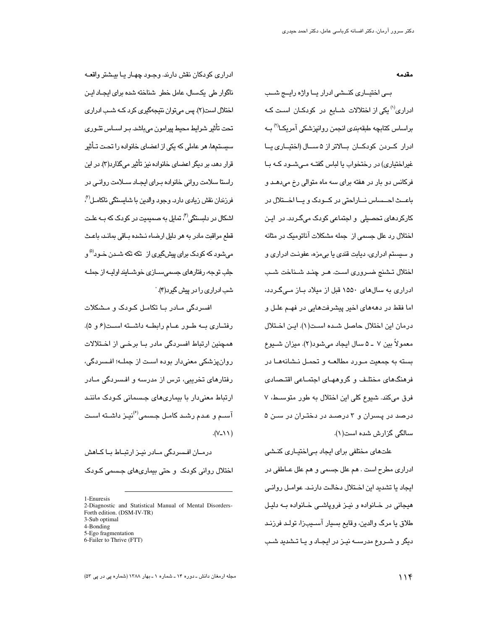مقدمه

بے اختیاری کنے ادرار یا واژہ رایے شب ادراری<sup>(۱)</sup> یکی از اختلالات شــایع در کودکــان اسـت کــه براساس کتابچه طبقهبندی انجمن روانپزشکی آمریکـا<sup>(۳)</sup> بــه ادرار كــردن كودكــان بــالاتر از ۵ ســال (اختيــارى يــا غیراختیاری) در رختخواب یا لباس گفتـه مـیشــود کــه بــا فرکانس دو بار در هفته برای سه ماه متوالی رخ میدهـد و باعث احساس ناراحتی در کودک و یا اختلال در کارکردهای تحصبلی و اجتماعی کودک میگـردد. در ایـن اختلال رد علل جسمی از جمله مشکلات آناتومیک در مثانه و سيستم ادراري، ديابت قندي يا بي مزه، عفونت ادراري و اختلال تـشنج ضـروري اسـت. هـر چنـد شـناخت شـب ادراری به سالهای ۱۵۵۰ قبل از میلاد بیاز میےگردد، اما فقط در دهههای اخیر پیشرفتهایی در فهـم علـل و درمان ابن اختلال حاصل شيده است(١). ابن اختلال معمولاً بين ٧ ــ ۵ سال ايجاد مىشود(٢). ميزان شــيوع بسته به جمعیت مـورد مطالعــه و تحمـل نـشانههــا در فرهنگهای مختلف و گروههـای اجتمـاعی اقتـصـادی فرق میکند. شیوع کلی این اختلال به طور متوسط، ۷ درصد در پسران و ۳ درصد در دختران در سـن ۵ سالگی گزارش شده است(۱).

علتھای مختلفی برای ایجاد بے اختیـاری کنـشی ادراری مطرح است . هم علل جسمی و هم علل عــاطفی در ايجاد يا تشديد اين اختلال دخالت دارنـد. عوامـل روانـى هیجانی در خــانواده و نیــز فروپاشــی خــانواده بــه دلیـل طلاق يا مرگ والدين، وقايع بسيار آسـيبزا، تولـد فرزنـد دیگر و شـروع مدرســه نیـز در ایجـاد و یـا تـشدید شـب

ادراري کودکان نقش دارند. وجـود چهـار يـا بيـشتر واقعـه ناگوار طی یکسال، عامل خطر شناخته شده برای ایجـاد ایـن اختلال است(٢). پس مي توان نتيجهگيري کرد کــه شـب ادراري تحت تأثير شرايط محيط پيرامون مىباشد. بـر اســاس تئــورى سیستمها، هر عاملی که یکی از اعضای خانواده را تحت تــأثیر قرار دهه، بر دیگر اعضای خانواده نیز تأثیر میگذارد(۳). در این راستا سلامت روانی خانواده بـرای ایجـاد ســلامت روانـی در فرزندان نقش زيا*دی* دارد. وجود والدین با شایستگی ناکامـل<sup>91</sup>، اشکال در دلسنگی<sup>(۴</sup>، تمایل به صمیمیت در کودک که بــه علــت قطع مراقبت مادر به هر دلیل ارضاء نـشده بـاقی بمانـد، باعـث میشود که کودک برا*ی* پیشگیری از تکه تکه شــدن خــود<sup>(۵</sup> و جلب توجه، رفتارهای جسمی سـازی خوشـایند اولیــه از جملــه شب ادراری را در پیش گر د(۴).

افسر دگی مبادر بیا تکامیل کیویک و میشکلات رفتاري به طور عام رابطه داشته است(۶ و ۵). همچنین ارتباط افسردگی مادر بـا برخـی از اخــتلالات روانپزشکی معنیدار بوده است از جملــه؛ افـسردگی، رفتارهای تخریبی، ترس از مدرسه و افـسردگی مـادر ارتباط معنی دار با بیماریهای جسمانی کودک مانند آســم و عـدم رشـد کامـل جـسمی $^{(\ell)}$ نیـز داشــته اسـت  $(1/\sqrt{2})$ .

درمـان افـسردگی مـادر نیـز ارتبـاط بـا کـاهش اختلال روانی کودک و حتی بیماریهای جسمی کـودک

1-Enuresis

2-Diagnostic and Statistical Manual of Mental Disorders-Forth edition. (DSM-IV-TR) 3-Sub optimal

<sup>4-</sup>Bonding

<sup>5-</sup>Ego fragmentation

<sup>6-</sup>Failer to Thrive (FTT)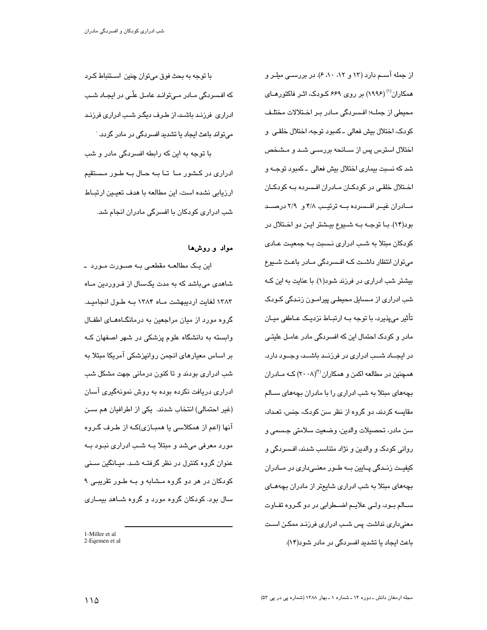از جمله آســم دارد (۱۳ و ۸۲، ۸۰، ۶). در بررســی میلــر و همکاران<sup>(۱)</sup> (۱۹۹۶) بر روی ۶۶۹ کـودک، اثـر فاکتورهـای محيطي از جملـــ»؛ افــسردگي مــادر بــر اخــتلالات مختلـف كودك، اختلال بيش فعالى ـ كمبود توجه، اختلال خلقـى ۖ و اختلال استرس پس از ســانحه بررســی شــد و مــشـخص شد که نسبت بیماری اختلال بیش فعالی ۔کمبود توجــه و اختلال خلقی در کودکان مادران افسرده به کودکان مـادران غيــر افــسرده بــه ترتيــب ۴/۸ و ۲/۹ درصــد بود(۱۴). بــا توجــه بــه شـــيوع بيــشتر ايــن دو اخــتلال در کودکان مبتلا به شـب ادراری نـسبت بـه جمعیـت عـادی می توان انتظار داشت کـه افـسردگی مـادر باعـث شــیوع بیشتر شب ادراری در فرزند شود(۱). با عنایت به این کـه شب ادراری از مـسایل محیطـی پیرامـون زنـدگی کـودک تأثیر می،پذیرد، با توجه بــه ارتبــاط نزدیــک عــاطفی میــان مادر و کودک احتمال این که افسردگی مادر عامـل علیتـی در ایجــاد شــب ادراری در فرزنــد باشــد، وجــود دارد. همچنین در مطالعه اکمن و همکاران (۲۰۰۸) کــه مــادران بچههای مبتلا به شب ادراری را با مادران بچههای ســالم مقایسه کردند، دو گروه از نظر سن کودک، جنس، تعـداد، سن مادر، تحصيلات والدين، وضعيت سلامتي جـسمي و روانی کودک و والدین و نژاد متناسب شدند، افـسردگی و کیفیــت زنــدگی پــایین بــه طــور معنــیداری در مــادران بچههای مبتلا به شب ادراری شایعتر از مادران بچههـای ســالم بــود، ولــي علايــم اضـــطرابي در دو گــروه تفــاوت معنیداری نداشت. پس شب ادراری فرزند ممکن است باعث ایجاد یا تشدید افسردگی در مادر شود(۱۴).

با توجه به بحث فوق میتوان چنین اســتنباط کــرد که افـسردگی مـادر مـی توانـد عامـل علّـی در ایجـاد شـب ادراری فرزند باشد، از طرف دیگر شب ادراری فرزند می تواند باعث ایجاد یا تشدید افسردگی در مادر گردد. با توجه به این که رابطه افسردگی مادر و شب ادراری در کشور مـا تـا بـه حـال بـه طـور مـستقیم ارزیابی نشده است، این مطالعه با هدف تعیـین ارتبـاط شب ادراری کودکان با افسرگی مادران انجام شد.

## مواد و روشها

این یک مطالعــه مقطعــی بــه صــورت مــورد ــ شاهدی میباشد که به مدت یکسال از فـروردین مـاه ۱۳۸۳ لغایت اردیبهشت مـاه ۱۳۸۴ بـه طـول انجامیـد. گروه مورد از میان مراجعین به درمانگـاههـای اطفـال وابسته به دانشگاه علوم پزشکی در شهر اصفهان کـه بر اساس معیارهای انجمن روانپزشکی آمریکا مبتلا به شب ادراری بودند و تا کنون درمانی جهت مشکل شب ادراری دریافت نکرده بوده به روش نمونهگیری اسان (غیر احتمالی) انتخاب شدند. یکی از اطرافیان هم سـن آنها (اعم از همکلاسی یا همبـازی)کـه از طـرف گـروه مورد معرفی میشد و مبتلا بـه شـب ادراری نبـود بـه عنوان گروه کنترل در نظر گرفتـه شـد. میـانگین سـنی کودکان در هر دو گروه مـشابه و بـه طـور تقریبـی ۹ سال بود. کودکان گروه مورد و گروه شـاهد بیمـاری

<sup>1-</sup>Miller et al

<sup>2-</sup>Egemen et al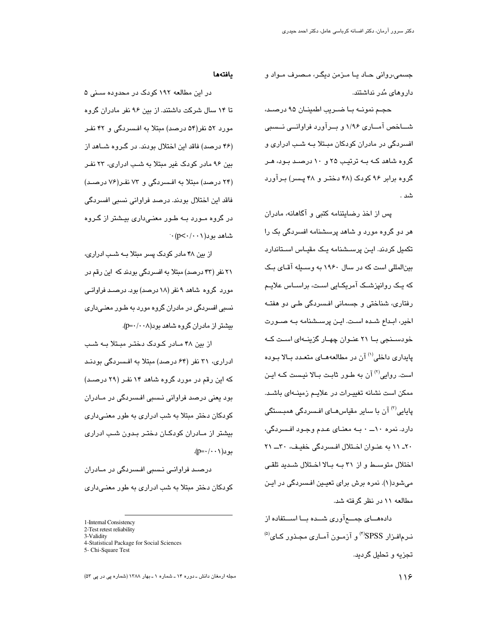جسمي،رواني حـاد يـا مـزمن ديگـر، مـصرف مـواد و دار و های مُدر نداشتند.

حجـم نمونــه بــا ضــريب اطمينــان ۹۵ درصــد، شـــاخص آمـــاری ۱/۹۶ و بــرآورد فراوانـــی نـــسبی افسردگی در مادران کودکان مبـتلا بـه شـب ادراری و گروه شاهد کـه بـه ترتیـب ۲۵ و ۱۰ درصـد بـود، هـر گروه برابر ۹۶ کودک (۴۸ دختـر و ۴۸ پـسر) بـرآورد شد

یس از اخذ رضایتنامه کتبی و آگاهانه، مادران هر دو گروه مورد و شاهد پرسشنامه افسردگی بک را تکمیل کردند. ایـن پرســشنامه یـک مقیـاس اسـتاندارد بینالمللی است که در سال ۱۹۶۰ به وسیله آقای بک که یک روانپزشـک آمریکـایی اسـت، براســاس علایــم رفتاری، شناختی و جسمانی افسردگی طے دو هفتـه اخیر، ابـداع شـده اسـت. ایـن پرسـشنامه بـه صـورت خودسـنجی بـا ۲۱ عنـوان چهـار گزینــهای اسـت کــه یابداری داخلی<sup>(۱)</sup> آن در مطالعههـای متعـدد بـالا بـوده است. روایی<sup>(۲)</sup> آن به طـور ثابـت بـالا نیـست کـه ایـن ممکن است نشانه تغییرات در علایـم زمینـهای باشـد. یایایی<sup>(۳)</sup> آن با سایر مقیاس*ه*ـای افـسردگی همبـستگی دارد. نمره ۱۰ـــ ۰ بــه معنــای عـدم وجـود افـسردگی، ٢٠ - ١١ به عنوان اختلال افسردگي خفيف، ٣٠ ــ ٢١ اختلال متوسط و از ۳۱ به بالا اختلال شدید تلقی میشود(۱). نمره برش برای تعیـین افـسردگی در ایـن مطالعه ۱۱ در نظر گرفته شد.

دادههـــای جمــــع آوری شـــده بـــا اســـتفاده از نـرمافـزار SPSS(") و آزمـون آمـاری مجـذور کـای<sup>(۵)</sup> تجزیه و تحلیل گردید.

### يافتهها

در این مطالعه ۱۹۲ کودک در محدوده سننی ۵ تا ۱۴ سال شرکت داشتند. از بین ۹۶ نفر مادران گروه مورد ۵۲ نفر(۵۴ درصد) مبتلا به افسردگی و ۴۲ نفـر (۴۶ درصد) فاقد این اختلال بودند. در گـروه شــاهد از بین ۹۶ مادر کودک غیر مبتلا به شب ادراری، ۲۳ نفر (۲۴ درصد) مبتلا به افسردگی و ۷۳ نفر(۷۶ درصد) فاقد این اختلال بودند. درصد فراوانی نسبی افسردگی در گروه مـورد بـه طـور معنـیداری بیـشتر از گـروه  $\cdot$  شاهد بود $(p<\cdot/\cdot\cdot)$ 

از بین ۴۸ مادر کودک پسر مبتلا بـه شـب ادراری، ۲۱ نفر (۴۳ درصد) مبتلا به افسردگی بودند که این رقم در موړد گروه شاهد ۹ نفر (۱۸ درصد) يوه. درصيد فراواني نسبی افسردگی در مادران گروه مورد به طـور معنـی،داری  $(p=\cdot/\cdot\cdot\wedge)$ در ان گروه شاهد بو د

از بین ۴۸ مـادر کـودک دختـر مبـتلا بـه شـب ادراری، ۳۱ نفر (۶۴ درصد) مبتلا به افسردگی بودنـد که این رقم در مورد گروه شاهد ۱۴ نفـر (۲۹ درصـد) بود یعنی درصد فراوانی نـسبی افـسردگی در مـادران کودکان دختر مبتلا به شب ادراری به طور معنـی،داری بیشتر از مـادران کودکـان دختـر بـدون شـب ادراری بو د( ۱۰۰-۱p).

درصـد فراوانـی نـسبی افـسردگی در مــادران کودکان دختر مبتلا به شب ادراری به طور معنے داری

<sup>1-</sup>Internal Consistency

<sup>2-</sup>Test retest reliability

<sup>3-</sup>Validity

<sup>4-</sup>Statistical Package for Social Sciences

<sup>5-</sup> Chi-Square Test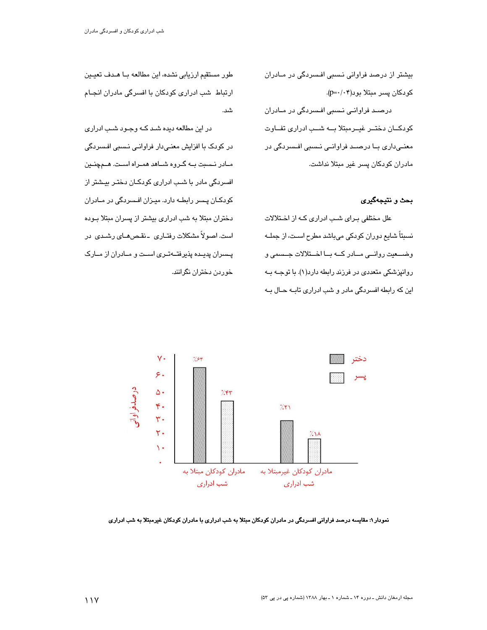بیشتر از درصد فراوانی نسبی افسردگی در مـادران کودکان پسر مبتلا بود(۰۴-+p). درصـد فراوانـی نـسبی افـسردگی در مـادران كودكان دختور غيومبتلا به شب ادرارى تفاوت معنے،داری بــا درصــد فراوانــی نــسبی افــسردگی در مادران كودكان پسر غير مبتلا نداشت.

بحث و نتيجهگيري

علل مختلفی برای شب ادراری که از اختلالات نسبتاً شایع دوران کودکی میباشد مطرح اسـت، از جملــه وضــعیت روانــی مــادر کــه بــا اخــتلالات جــسمی و روانپزشکی متعددی در فرزند رابطه دارد(۱). با توجـه بـه این که رابطه افسردگی مادر و شب ادراری تابـه حـال بـه

طور مستقیم ارزیابی نشده، این مطالعه بـا هـدف تعیـین ارتباط شب ادراری کودکان با افسرگی مادران انجـام شد.

در این مطالعه دیده شـد کـه وجـود شـب ادراری در کودک با افزایش معنے دار فراوانے نسبی افسردگی مـادر نـسبت بـه گـروه شـاهد همـراه اسـت. هـمچنـین افسردگی مادر با شب ادراری کودکـان دختـر بیـشتر از کودکـان پــسر رابطــه دارد. میــزان افــسردگی در مــادران دختران مبتلا به شب ادراری بیشتر از پسران مبتلا بوده است. اصولاً مشکلات رفتـاری \_نقـصهـای رشـدی در پسران پدیده پذیرفتهتری است و مادران از مارک خوردن دختران نگرانند.



نمودار ۱: مقایسه درصد فراوانی افسردگی در مادران کودکان مبتلا به شب ادراری با مادران کودکان غیرمبتلا به شب ادراری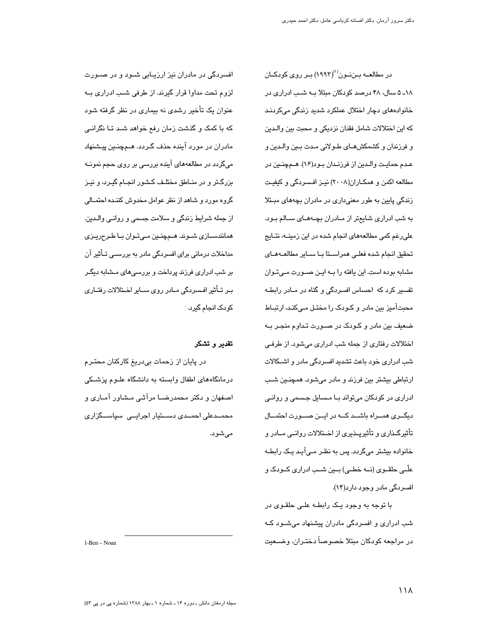در مطالعــه بــننــون<sup>(۱)</sup>(۱۹۹۳) بــر روی کودکــان

١٨ـ ۵ سال، ۴۸ درصد كودكان مبتلا بـه شـب ادرارى در

خانوادههای دچار اختلال عملکرد شدید زندگی مے کردنـد

افسردگی در مادران نیز ارزیـابی شـود و در صـورت لزوم تحت مداوا قرار گیرند. از طرفی شب ادراری بـه عنوان یک تأخیر رشدی نه بیماری در نظر گرفته شود که با کمک و گذشت زمان رفع خواهد شـد تـا نگرانـی مادران در مورد آينده حذف گـردد. هــمچنــين پيــشنهاد میگردد در مطالعههای آینده بررسی بر روی حجم نمونــه بزرگتر و در منـاطق مختلـف کـشور انجـام گیـرد، و نیـز گروه مورد و شاهد از نظر عوامل مخدوش کننـده احتمــالی از جمله شرایط زندگی و سلامت جسمی و روانـی والـدین. همانندسازی شوند. هـمچنين مـیتوان بـا طـرحريـزی مداخلات درمانی برای افسردگی مادر به بررســی تــأثیر آن بر شب ادراری فرزند پرداخت و بررسی های مـشابه دیگـر یبر تیأثیر افسردگی میادر روی سیایر اختلالات رفتیاری کو پک انجام گیریہ م

### تقدير و تشكر

در پایان از زحمات بیدریغ کارکنان محتـرم درمانگاههای اطفال وابسته به دانشگاه علـوم پزشـکی اصفهان و دکتر محمدرضــا مرآثـی مـشاور آمـاری و محمــدعلی احمــدی دســتیار اجرایــی سپاســگزاری مىشود.

كه اين اختلالات شامل فقدان نزديكي و محبت بين والدين و فرزندان و كشمكشهـاى طـولانى مـدت بـين والـدين و عدم حمايت والدين از فرزندان بود(١۶). هـمچنـين در مطالعه اکمن و همکـاران(۲۰۰۸) نیـز افـسردگی و کیفیـت زندگی پایین به طور معنیداری در مادران بچههای مبـتلا به شب ادراری شایعتر از مـادران بچـههـای سـالم بـود. علی رغم کمی مطالعههای انجام شده در این زمینـه، نتـایج تحقیق انجام شدہ فعلے همراستا بـا سـایر مطالعــهمـای مشابه بوده است. این یافته را بـه ایـن صـورت مـیتوان تفسیر کرد که احساس افسردگی و گناه در مبادر رابطیه محبتآمیز بین مادر و کـودک را مختـل مـیکنـد، ارتبـاط ضعیف بین مادر و کـودک در صـورت تـداوم منجـر بـه اختلالات رفتاري از جمله شب ادراري ميشود. از طرفي شب ادراری خود باعث تشدید افسردگی مادر و اشـکالات ارتباطی بیشتر بین فرزند و مادر میشود. همچنـین شـب ادراری در کودکان میتواند بـا مـسایل جـسمی و روانـی دیگری هموراه باشد که در ایرن صوررت احتمال تأثیرگذاری و تأثیرپذیری از اختلالات روانمی مادر و خانوادہ بیشتر مے گردد. پس به نظر مے آید یک رابطـه علّــي حلقــوي (نـــه خطــي) بــين شــب ادراري كــودك و افسردگی مادر وجود دارد(۱۴).

با توجه به وجود یک رابطـه علـی حلقـوی در شب ادراری و افسردگی مادران پیشنهاد میشـود کـه در مراجعه کودکان مبتلا خصوصاً دختیران، وضیعت

1-Ben - Noun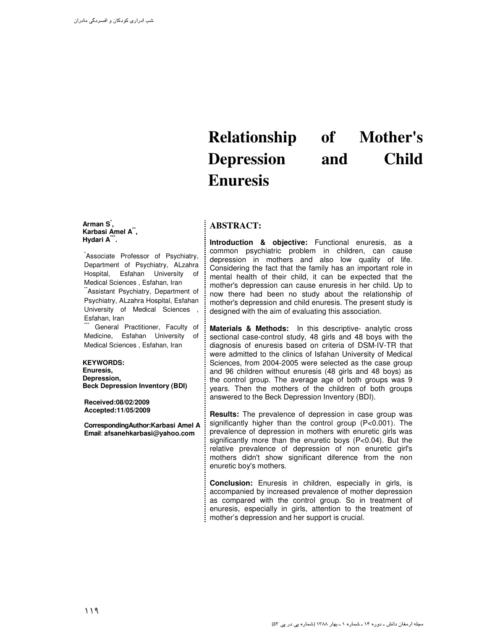# **Relationship of Mother's Depression and Child Enuresis**

# **ABSTRACT:**

**Arman S\* , Karbasi Amel A\*\* , Hydari A\*\*\* .** 

Associate Professor of Psychiatry, Department of Psychiatry, ALzahra Hospital, Esfahan University of Medical Sciences , Esfahan, Iran Assistant Psychiatry, Department of

Psychiatry, ALzahra Hospital, Esfahan University of Medical Sciences , Esfahan, Iran

General Practitioner, Faculty of Medicine, Esfahan University of Medical Sciences , Esfahan, Iran

#### **KEYWORDS:**

**Enuresis, Depression, Beck Depression Inventory (BDI)** 

**Received:08/02/2009 Accepted:11/05/2009**

 **CorrespondingAuthor:Karbasi Amel A Email**: **afsanehkarbasi@yahoo.com** 

**Introduction & objective:** Functional enuresis, as a common psychiatric problem in children, can cause depression in mothers and also low quality of life. Considering the fact that the family has an important role in mental health of their child, it can be expected that the mother's depression can cause enuresis in her child. Up to now there had been no study about the relationship of mother's depression and child enuresis. The present study is designed with the aim of evaluating this association.

**Materials & Methods:** In this descriptive- analytic cross sectional case-control study, 48 girls and 48 boys with the diagnosis of enuresis based on criteria of DSM-IV-TR that were admitted to the clinics of Isfahan University of Medical Sciences, from 2004-2005 were selected as the case group and 96 children without enuresis (48 girls and 48 boys) as the control group. The average age of both groups was 9 years. Then the mothers of the children of both groups answered to the Beck Depression Inventory (BDI).

**Results:** The prevalence of depression in case group was significantly higher than the control group (P<0.001). The prevalence of depression in mothers with enuretic girls was significantly more than the enuretic boys (P<0.04). But the relative prevalence of depression of non enuretic girl's mothers didn't show significant diference from the non enuretic boy's mothers.

**Conclusion:** Enuresis in children, especially in girls, is accompanied by increased prevalence of mother depression as compared with the control group. So in treatment of enuresis, especially in girls, attention to the treatment of mother's depression and her support is crucial.